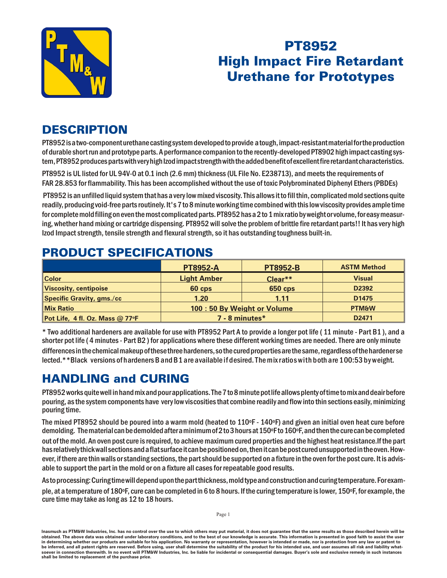

# PT8952 **High Impact Fire Retardant Urethane for Prototypes**

### **DESCRIPTION**

PT8952 is a two-component ure thane casting system developed to provide a tough, impact-resistant material for the production of durable short run and prototype parts. A performance companion to the recently-developed PT8902 high impact casting system, PT8952 produces parts with very high Izod impact strength with the added benefit of excellent fire retardant characteristics.

PT8952 is UL listed for UL 94V-0 at 0.1 inch (2.6 mm) thickness (UL File No. E238713), and meets the requirements of FAR 28.853 for flammability. This has been accomplished without the use of toxic Polybrominated Diphenyl Ethers (PBDEs)

PT8952 is an unfilled liquid system that has a very low mixed viscosity. This allows it to fill thin, complicated mold sections quite readily, producing void-free parts routinely. It's 7 to 8 minute working time combined with this low viscosity provides ample time for complete mold filling on even the most complicated parts. PT8952 has a 2 to 1 mix ratio by weight or volume, for easy measuring, whether hand mixing or cartridge dispensing. PT8952 will solve the problem of brittle fire retardant parts!! It has very high Izod Impact strength, tensile strength and flexural strength, so it has outstanding toughness built-in.

#### **PT8952-A PT8952-B ASTM Method Color Light Amber Clear<sup>\*\*</sup> <b>Clear Clear Vis cos ity, centipoise 60 cps 650 cps D2392 Spe cific Grav ity, gms./cc 1.20 1.11 D1475 Mix Ra tio 100 : 50 By Weight or Volume PTM&W Pot Life, 4 fl. Oz. Mass @ 77oF 7 - 8 min utes\* D2471**

#### **PRODUCT SPECIFICATIONS**

\* Two additional hardeners are available for use with PT8952 Part A to provide a longer pot life (11 minute - Part B1), and a shorter pot life (4 minutes - Part B2) for applications where these different working times are needed. There are only minute differences in the chemical makeup of these three hardeners, so the cured properties are the same, regardless of the hardenerse lected.\*\*Black versions of hardeners B and B1 are available if desired. The mix ratioswith both are 100 : 53 by weight.

## **HANDLING and CURING**

PT8952 works quite well in hand mix and pour applications. The 7 to 8 minute pot life allows plenty of time to mix and deair before pouring, as the system components have very low viscosities that combine readily and flow into thin sections easily, minimizing pouring time.

The mixed PT8952 should be poured into a warm mold (heated to  $110\text{°F}$  -  $140\text{°F}$ ) and given an initial oven heat cure before demolding. The material can be demolded after a minimum of 2 to 3 hours at 150 $\degree$ F to 160 $\degree$ F, and then the cure can be completed

out of the mold. An oven post cure is required, to achieve maximum cured properties and the highest heat resistance.If the part has relatively thick wall sections and a flat surface it can be positioned on, then it can be post cured unsupported in the oven. However, if there are thin walls or standing sections, the part should be supported on a fixture in the oven for the post cure. It is advisable to support the part in the mold or on a fixture all cases for repeatable good results.

As to processing: Curing time will depend upon the part thickness, mold type and construction and curing temperature. For example, at a temperature of 180°F, cure can be completed in 6 to 8 hours. If the curing temperature is lower, 150°F, for example, the cure time may take as long as 12 to 18 hours.

Inasmuch as PTM&W Industries, Inc. has no control over the use to which others may put material, it does not guarantee that the same results as those described herein will be obtained. The above data was obtained under laboratory conditions, and to the best of our knowledge is accurate. This information is presented in good faith to assist the user in determining whether our products are suitable for his application. No warranty or representation, however is intended or made, nor is protection from any law or patent to be inferred, and all patent rights are reserved. Before using, user shall determine the suitability of the product for his intended use, and user assumes all risk and liability whatsoever in connection therewith. In no event will PTM&W Industries, Inc. be liable for incidental or consequential damages. Buyer's sole and exclusive remedy in such instances **shall be limited to replace ment of the purchase price.**